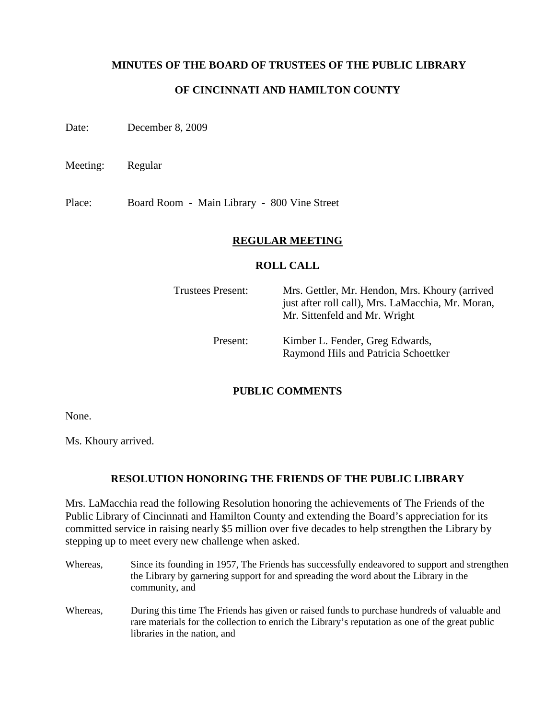## **MINUTES OF THE BOARD OF TRUSTEES OF THE PUBLIC LIBRARY**

# **OF CINCINNATI AND HAMILTON COUNTY**

Date: December 8, 2009

Meeting: Regular

Place: Board Room - Main Library - 800 Vine Street

## **REGULAR MEETING**

### **ROLL CALL**

| <b>Trustees Present:</b> | Mrs. Gettler, Mr. Hendon, Mrs. Khoury (arrived<br>just after roll call), Mrs. LaMacchia, Mr. Moran,<br>Mr. Sittenfeld and Mr. Wright |
|--------------------------|--------------------------------------------------------------------------------------------------------------------------------------|
| Present:                 | Kimber L. Fender, Greg Edwards,<br>Raymond Hils and Patricia Schoettker                                                              |

## **PUBLIC COMMENTS**

None.

Ms. Khoury arrived.

## **RESOLUTION HONORING THE FRIENDS OF THE PUBLIC LIBRARY**

Mrs. LaMacchia read the following Resolution honoring the achievements of The Friends of the Public Library of Cincinnati and Hamilton County and extending the Board's appreciation for its committed service in raising nearly \$5 million over five decades to help strengthen the Library by stepping up to meet every new challenge when asked.

- Whereas, Since its founding in 1957, The Friends has successfully endeavored to support and strengthen the Library by garnering support for and spreading the word about the Library in the community, and
- Whereas, During this time The Friends has given or raised funds to purchase hundreds of valuable and rare materials for the collection to enrich the Library's reputation as one of the great public libraries in the nation, and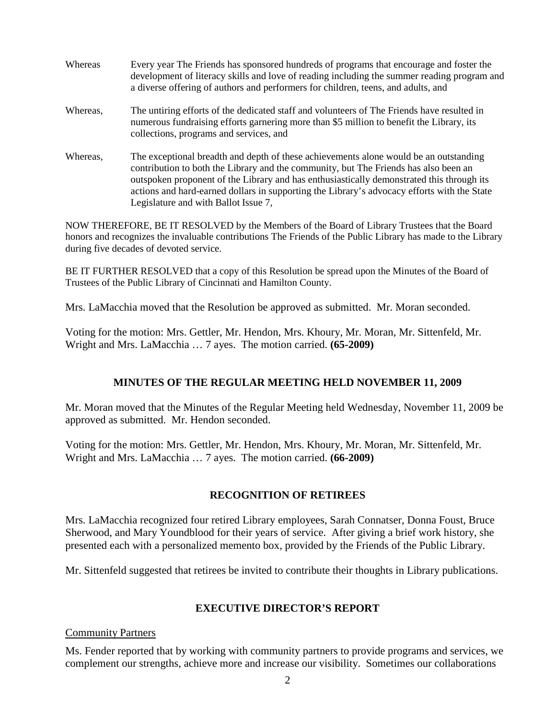Whereas Every year The Friends has sponsored hundreds of programs that encourage and foster the development of literacy skills and love of reading including the summer reading program and a diverse offering of authors and performers for children, teens, and adults, and Whereas, The untiring efforts of the dedicated staff and volunteers of The Friends have resulted in numerous fundraising efforts garnering more than \$5 million to benefit the Library, its collections, programs and services, and Whereas, The exceptional breadth and depth of these achievements alone would be an outstanding contribution to both the Library and the community, but The Friends has also been an outspoken proponent of the Library and has enthusiastically demonstrated this through its actions and hard-earned dollars in supporting the Library's advocacy efforts with the State Legislature and with Ballot Issue 7,

NOW THEREFORE, BE IT RESOLVED by the Members of the Board of Library Trustees that the Board honors and recognizes the invaluable contributions The Friends of the Public Library has made to the Library during five decades of devoted service.

BE IT FURTHER RESOLVED that a copy of this Resolution be spread upon the Minutes of the Board of Trustees of the Public Library of Cincinnati and Hamilton County.

Mrs. LaMacchia moved that the Resolution be approved as submitted. Mr. Moran seconded.

Voting for the motion: Mrs. Gettler, Mr. Hendon, Mrs. Khoury, Mr. Moran, Mr. Sittenfeld, Mr. Wright and Mrs. LaMacchia … 7 ayes. The motion carried. **(65-2009)**

# **MINUTES OF THE REGULAR MEETING HELD NOVEMBER 11, 2009**

Mr. Moran moved that the Minutes of the Regular Meeting held Wednesday, November 11, 2009 be approved as submitted. Mr. Hendon seconded.

Voting for the motion: Mrs. Gettler, Mr. Hendon, Mrs. Khoury, Mr. Moran, Mr. Sittenfeld, Mr. Wright and Mrs. LaMacchia … 7 ayes. The motion carried. **(66-2009)**

# **RECOGNITION OF RETIREES**

Mrs. LaMacchia recognized four retired Library employees, Sarah Connatser, Donna Foust, Bruce Sherwood, and Mary Youndblood for their years of service. After giving a brief work history, she presented each with a personalized memento box, provided by the Friends of the Public Library.

Mr. Sittenfeld suggested that retirees be invited to contribute their thoughts in Library publications.

## **EXECUTIVE DIRECTOR'S REPORT**

## Community Partners

Ms. Fender reported that by working with community partners to provide programs and services, we complement our strengths, achieve more and increase our visibility. Sometimes our collaborations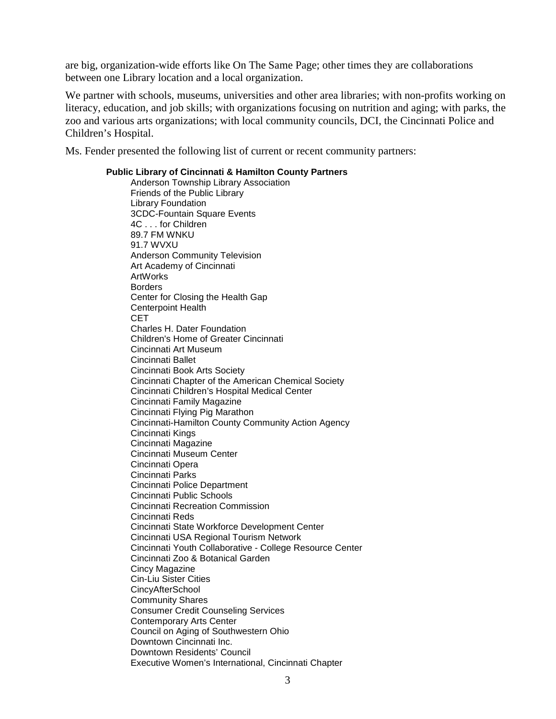are big, organization-wide efforts like On The Same Page; other times they are collaborations between one Library location and a local organization.

We partner with schools, museums, universities and other area libraries; with non-profits working on literacy, education, and job skills; with organizations focusing on nutrition and aging; with parks, the zoo and various arts organizations; with local community councils, DCI, the Cincinnati Police and Children's Hospital.

Ms. Fender presented the following list of current or recent community partners:

### **Public Library of Cincinnati & Hamilton County Partners**  Anderson Township Library Association Friends of the Public Library Library Foundation 3CDC-Fountain Square Events 4C . . . for Children 89.7 FM WNKU 91.7 WVXU Anderson Community Television Art Academy of Cincinnati ArtWorks Borders Center for Closing the Health Gap Centerpoint Health CET Charles H. Dater Foundation Children's Home of Greater Cincinnati Cincinnati Art Museum Cincinnati Ballet Cincinnati Book Arts Society Cincinnati Chapter of the American Chemical Society Cincinnati Children's Hospital Medical Center Cincinnati Family Magazine Cincinnati Flying Pig Marathon Cincinnati-Hamilton County Community Action Agency Cincinnati Kings Cincinnati Magazine Cincinnati Museum Center Cincinnati Opera Cincinnati Parks Cincinnati Police Department Cincinnati Public Schools Cincinnati Recreation Commission Cincinnati Reds Cincinnati State Workforce Development Center Cincinnati USA Regional Tourism Network Cincinnati Youth Collaborative - College Resource Center Cincinnati Zoo & Botanical Garden Cincy Magazine Cin-Liu Sister Cities **CincyAfterSchool** Community Shares Consumer Credit Counseling Services Contemporary Arts Center Council on Aging of Southwestern Ohio Downtown Cincinnati Inc. Downtown Residents' Council Executive Women's International, Cincinnati Chapter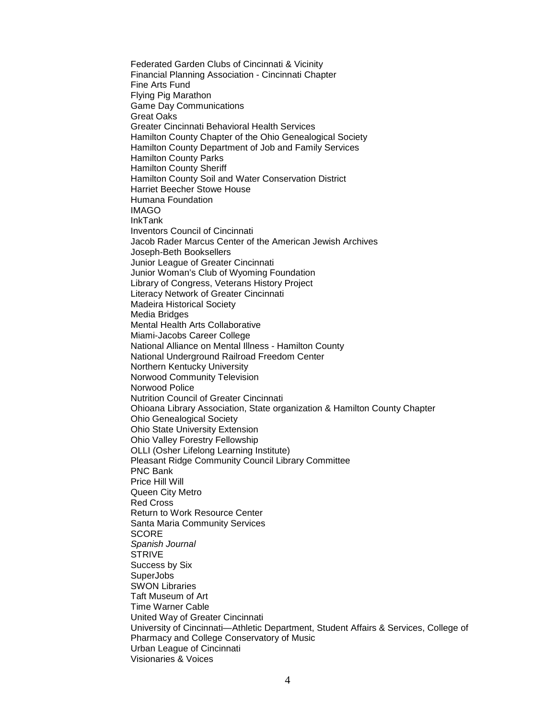Federated Garden Clubs of Cincinnati & Vicinity Financial Planning Association - Cincinnati Chapter Fine Arts Fund Flying Pig Marathon Game Day Communications Great Oaks Greater Cincinnati Behavioral Health Services Hamilton County Chapter of the Ohio Genealogical Society Hamilton County Department of Job and Family Services Hamilton County Parks Hamilton County Sheriff Hamilton County Soil and Water Conservation District Harriet Beecher Stowe House Humana Foundation IMAGO InkTank Inventors Council of Cincinnati Jacob Rader Marcus Center of the American Jewish Archives Joseph-Beth Booksellers Junior League of Greater Cincinnati Junior Woman's Club of Wyoming Foundation Library of Congress, Veterans History Project Literacy Network of Greater Cincinnati Madeira Historical Society Media Bridges Mental Health Arts Collaborative Miami-Jacobs Career College National Alliance on Mental Illness - Hamilton County National Underground Railroad Freedom Center Northern Kentucky University Norwood Community Television Norwood Police Nutrition Council of Greater Cincinnati Ohioana Library Association, State organization & Hamilton County Chapter Ohio Genealogical Society Ohio State University Extension Ohio Valley Forestry Fellowship OLLI (Osher Lifelong Learning Institute) Pleasant Ridge Community Council Library Committee PNC Bank Price Hill Will Queen City Metro Red Cross Return to Work Resource Center Santa Maria Community Services **SCORE** Spanish Journal **STRIVE** Success by Six **SuperJobs** SWON Libraries Taft Museum of Art Time Warner Cable United Way of Greater Cincinnati University of Cincinnati—Athletic Department, Student Affairs & Services, College of Pharmacy and College Conservatory of Music Urban League of Cincinnati Visionaries & Voices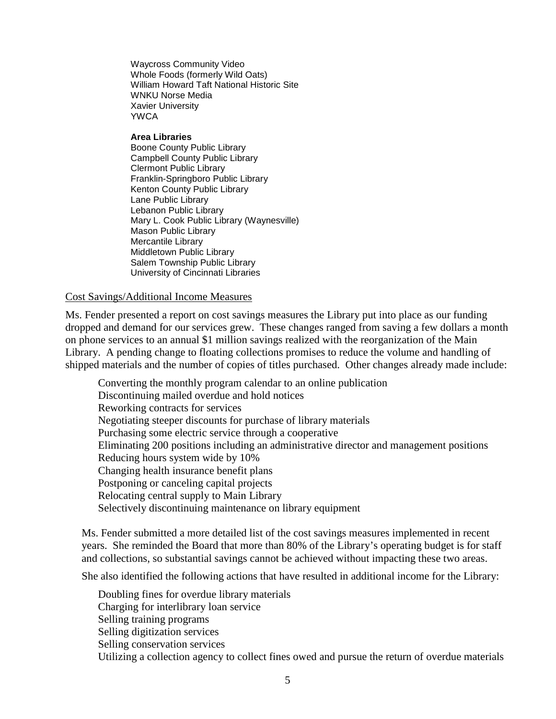Waycross Community Video Whole Foods (formerly Wild Oats) William Howard Taft National Historic Site WNKU Norse Media Xavier University YWCA

### **Area Libraries**

Boone County Public Library Campbell County Public Library Clermont Public Library Franklin-Springboro Public Library Kenton County Public Library Lane Public Library Lebanon Public Library Mary L. Cook Public Library (Waynesville) Mason Public Library Mercantile Library Middletown Public Library Salem Township Public Library University of Cincinnati Libraries

## Cost Savings/Additional Income Measures

Ms. Fender presented a report on cost savings measures the Library put into place as our funding dropped and demand for our services grew. These changes ranged from saving a few dollars a month on phone services to an annual \$1 million savings realized with the reorganization of the Main Library. A pending change to floating collections promises to reduce the volume and handling of shipped materials and the number of copies of titles purchased. Other changes already made include:

Converting the monthly program calendar to an online publication Discontinuing mailed overdue and hold notices Reworking contracts for services Negotiating steeper discounts for purchase of library materials Purchasing some electric service through a cooperative Eliminating 200 positions including an administrative director and management positions Reducing hours system wide by 10% Changing health insurance benefit plans Postponing or canceling capital projects Relocating central supply to Main Library Selectively discontinuing maintenance on library equipment

Ms. Fender submitted a more detailed list of the cost savings measures implemented in recent years. She reminded the Board that more than 80% of the Library's operating budget is for staff and collections, so substantial savings cannot be achieved without impacting these two areas.

She also identified the following actions that have resulted in additional income for the Library:

Doubling fines for overdue library materials Charging for interlibrary loan service Selling training programs Selling digitization services Selling conservation services Utilizing a collection agency to collect fines owed and pursue the return of overdue materials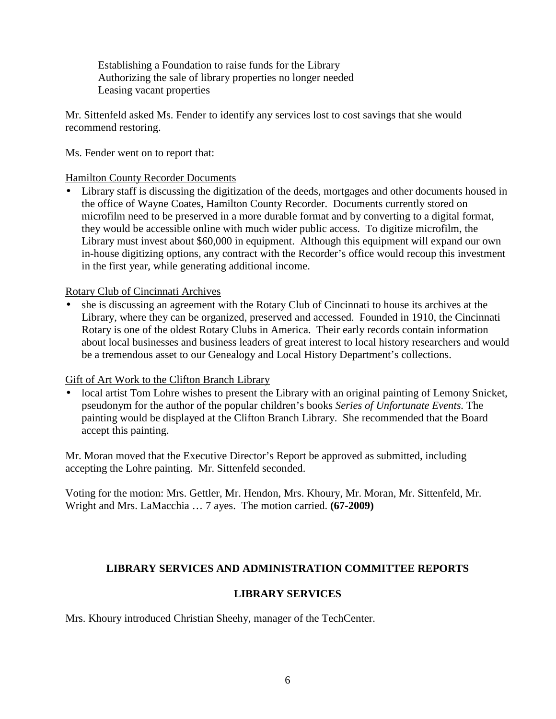Establishing a Foundation to raise funds for the Library Authorizing the sale of library properties no longer needed Leasing vacant properties

Mr. Sittenfeld asked Ms. Fender to identify any services lost to cost savings that she would recommend restoring.

Ms. Fender went on to report that:

Hamilton County Recorder Documents

• Library staff is discussing the digitization of the deeds, mortgages and other documents housed in the office of Wayne Coates, Hamilton County Recorder. Documents currently stored on microfilm need to be preserved in a more durable format and by converting to a digital format, they would be accessible online with much wider public access. To digitize microfilm, the Library must invest about \$60,000 in equipment. Although this equipment will expand our own in-house digitizing options, any contract with the Recorder's office would recoup this investment in the first year, while generating additional income.

Rotary Club of Cincinnati Archives

• she is discussing an agreement with the Rotary Club of Cincinnati to house its archives at the Library, where they can be organized, preserved and accessed. Founded in 1910, the Cincinnati Rotary is one of the oldest Rotary Clubs in America. Their early records contain information about local businesses and business leaders of great interest to local history researchers and would be a tremendous asset to our Genealogy and Local History Department's collections.

# Gift of Art Work to the Clifton Branch Library

local artist Tom Lohre wishes to present the Library with an original painting of Lemony Snicket, pseudonym for the author of the popular children's books *Series of Unfortunate Events.* The painting would be displayed at the Clifton Branch Library. She recommended that the Board accept this painting.

Mr. Moran moved that the Executive Director's Report be approved as submitted, including accepting the Lohre painting. Mr. Sittenfeld seconded.

Voting for the motion: Mrs. Gettler, Mr. Hendon, Mrs. Khoury, Mr. Moran, Mr. Sittenfeld, Mr. Wright and Mrs. LaMacchia … 7 ayes. The motion carried. **(67-2009)** 

# **LIBRARY SERVICES AND ADMINISTRATION COMMITTEE REPORTS**

# **LIBRARY SERVICES**

Mrs. Khoury introduced Christian Sheehy, manager of the TechCenter.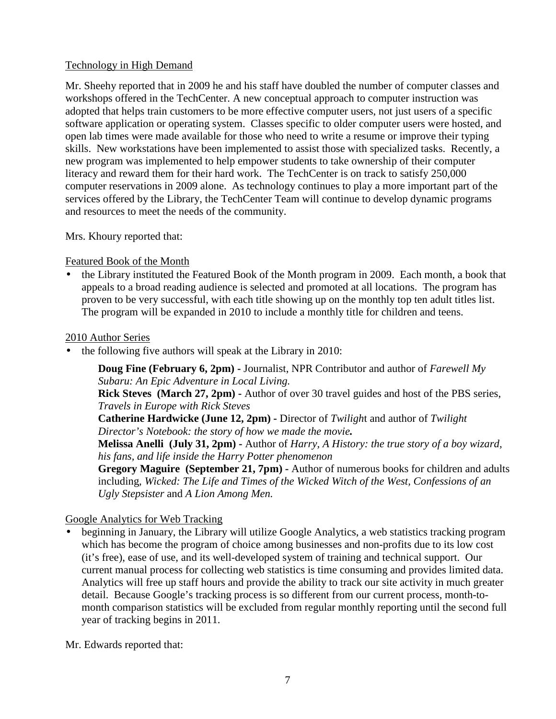# Technology in High Demand

Mr. Sheehy reported that in 2009 he and his staff have doubled the number of computer classes and workshops offered in the TechCenter. A new conceptual approach to computer instruction was adopted that helps train customers to be more effective computer users, not just users of a specific software application or operating system. Classes specific to older computer users were hosted, and open lab times were made available for those who need to write a resume or improve their typing skills. New workstations have been implemented to assist those with specialized tasks. Recently, a new program was implemented to help empower students to take ownership of their computer literacy and reward them for their hard work. The TechCenter is on track to satisfy 250,000 computer reservations in 2009 alone. As technology continues to play a more important part of the services offered by the Library, the TechCenter Team will continue to develop dynamic programs and resources to meet the needs of the community.

Mrs. Khoury reported that:

# Featured Book of the Month

• the Library instituted the Featured Book of the Month program in 2009. Each month, a book that appeals to a broad reading audience is selected and promoted at all locations. The program has proven to be very successful, with each title showing up on the monthly top ten adult titles list. The program will be expanded in 2010 to include a monthly title for children and teens.

## 2010 Author Series

• the following five authors will speak at the Library in 2010:

**Doug Fine (February 6, 2pm) -** Journalist, NPR Contributor and author of *Farewell My Subaru: An Epic Adventure in Local Living.*  **Rick Steves (March 27, 2pm) -** Author of over 30 travel guides and host of the PBS series, *Travels in Europe with Rick Steves*  **Catherine Hardwicke (June 12, 2pm) -** Director of *Twiligh*t and author of *Twilight Director's Notebook: the story of how we made the movie.*  **Melissa Anelli (July 31, 2pm) -** Author of *Harry, A History: the true story of a boy wizard, his fans, and life inside the Harry Potter phenomenon* 

**Gregory Maguire (September 21, 7pm) -** Author of numerous books for children and adults including*, Wicked: The Life and Times of the Wicked Witch of the West, Confessions of an Ugly Stepsister* and *A Lion Among Men.* 

# Google Analytics for Web Tracking

• beginning in January, the Library will utilize Google Analytics, a web statistics tracking program which has become the program of choice among businesses and non-profits due to its low cost (it's free), ease of use, and its well-developed system of training and technical support. Our current manual process for collecting web statistics is time consuming and provides limited data. Analytics will free up staff hours and provide the ability to track our site activity in much greater detail. Because Google's tracking process is so different from our current process, month-tomonth comparison statistics will be excluded from regular monthly reporting until the second full year of tracking begins in 2011.

Mr. Edwards reported that: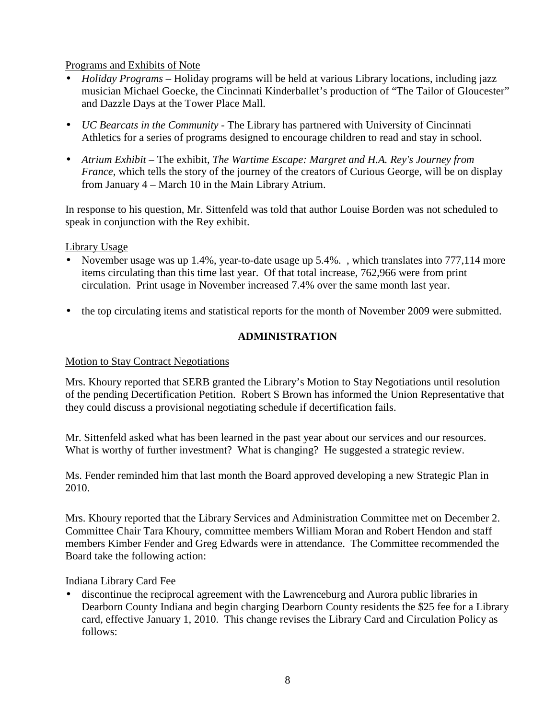# Programs and Exhibits of Note

- *Holiday Programs* Holiday programs will be held at various Library locations, including jazz musician Michael Goecke, the Cincinnati Kinderballet's production of "The Tailor of Gloucester" and Dazzle Days at the Tower Place Mall.
- *UC Bearcats in the Community* The Library has partnered with University of Cincinnati Athletics for a series of programs designed to encourage children to read and stay in school.
- *Atrium Exhibit –* The exhibit, *The Wartime Escape: Margret and H.A. Rey's Journey from France*, which tells the story of the journey of the creators of Curious George, will be on display from January 4 – March 10 in the Main Library Atrium.

In response to his question, Mr. Sittenfeld was told that author Louise Borden was not scheduled to speak in conjunction with the Rey exhibit.

Library Usage

- November usage was up 1.4%, year-to-date usage up 5.4%. , which translates into 777,114 more items circulating than this time last year. Of that total increase, 762,966 were from print circulation. Print usage in November increased 7.4% over the same month last year.
- the top circulating items and statistical reports for the month of November 2009 were submitted.

# **ADMINISTRATION**

## Motion to Stay Contract Negotiations

Mrs. Khoury reported that SERB granted the Library's Motion to Stay Negotiations until resolution of the pending Decertification Petition. Robert S Brown has informed the Union Representative that they could discuss a provisional negotiating schedule if decertification fails.

Mr. Sittenfeld asked what has been learned in the past year about our services and our resources. What is worthy of further investment? What is changing? He suggested a strategic review.

Ms. Fender reminded him that last month the Board approved developing a new Strategic Plan in 2010.

Mrs. Khoury reported that the Library Services and Administration Committee met on December 2. Committee Chair Tara Khoury, committee members William Moran and Robert Hendon and staff members Kimber Fender and Greg Edwards were in attendance. The Committee recommended the Board take the following action:

## Indiana Library Card Fee

• discontinue the reciprocal agreement with the Lawrenceburg and Aurora public libraries in Dearborn County Indiana and begin charging Dearborn County residents the \$25 fee for a Library card, effective January 1, 2010. This change revises the Library Card and Circulation Policy as follows: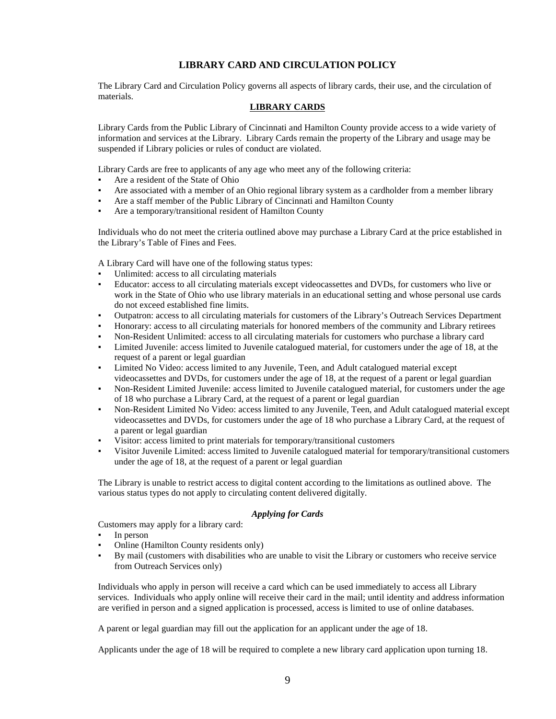### **LIBRARY CARD AND CIRCULATION POLICY**

The Library Card and Circulation Policy governs all aspects of library cards, their use, and the circulation of materials.

### **LIBRARY CARDS**

Library Cards from the Public Library of Cincinnati and Hamilton County provide access to a wide variety of information and services at the Library. Library Cards remain the property of the Library and usage may be suspended if Library policies or rules of conduct are violated.

Library Cards are free to applicants of any age who meet any of the following criteria:

- Are a resident of the State of Ohio
- Are associated with a member of an Ohio regional library system as a cardholder from a member library
- Are a staff member of the Public Library of Cincinnati and Hamilton County
- Are a temporary/transitional resident of Hamilton County

Individuals who do not meet the criteria outlined above may purchase a Library Card at the price established in the Library's Table of Fines and Fees.

A Library Card will have one of the following status types:

- Unlimited: access to all circulating materials
- Educator: access to all circulating materials except videocassettes and DVDs, for customers who live or work in the State of Ohio who use library materials in an educational setting and whose personal use cards do not exceed established fine limits.
- Outpatron: access to all circulating materials for customers of the Library's Outreach Services Department
- Honorary: access to all circulating materials for honored members of the community and Library retirees
- Non-Resident Unlimited: access to all circulating materials for customers who purchase a library card
- Limited Juvenile: access limited to Juvenile catalogued material, for customers under the age of 18, at the request of a parent or legal guardian
- Limited No Video: access limited to any Juvenile, Teen, and Adult catalogued material except videocassettes and DVDs, for customers under the age of 18, at the request of a parent or legal guardian
- Non-Resident Limited Juvenile: access limited to Juvenile catalogued material, for customers under the age of 18 who purchase a Library Card, at the request of a parent or legal guardian
- Non-Resident Limited No Video: access limited to any Juvenile, Teen, and Adult catalogued material except videocassettes and DVDs, for customers under the age of 18 who purchase a Library Card, at the request of a parent or legal guardian
- Visitor: access limited to print materials for temporary/transitional customers
- Visitor Juvenile Limited: access limited to Juvenile catalogued material for temporary/transitional customers under the age of 18, at the request of a parent or legal guardian

The Library is unable to restrict access to digital content according to the limitations as outlined above. The various status types do not apply to circulating content delivered digitally.

### *Applying for Cards*

Customers may apply for a library card:

- In person
- Online (Hamilton County residents only)
- By mail (customers with disabilities who are unable to visit the Library or customers who receive service from Outreach Services only)

Individuals who apply in person will receive a card which can be used immediately to access all Library services. Individuals who apply online will receive their card in the mail; until identity and address information are verified in person and a signed application is processed, access is limited to use of online databases.

A parent or legal guardian may fill out the application for an applicant under the age of 18.

Applicants under the age of 18 will be required to complete a new library card application upon turning 18.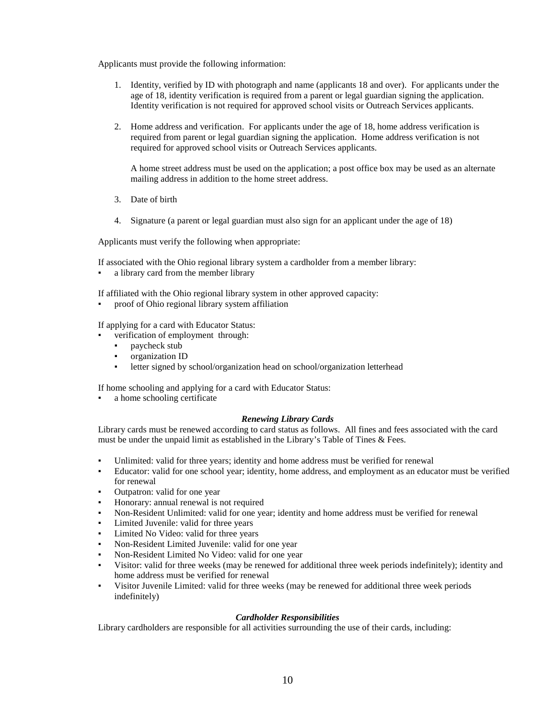Applicants must provide the following information:

- 1. Identity, verified by ID with photograph and name (applicants 18 and over). For applicants under the age of 18, identity verification is required from a parent or legal guardian signing the application. Identity verification is not required for approved school visits or Outreach Services applicants.
- 2. Home address and verification. For applicants under the age of 18, home address verification is required from parent or legal guardian signing the application. Home address verification is not required for approved school visits or Outreach Services applicants.

A home street address must be used on the application; a post office box may be used as an alternate mailing address in addition to the home street address.

- 3. Date of birth
- 4. Signature (a parent or legal guardian must also sign for an applicant under the age of 18)

Applicants must verify the following when appropriate:

If associated with the Ohio regional library system a cardholder from a member library:

• a library card from the member library

If affiliated with the Ohio regional library system in other approved capacity:

proof of Ohio regional library system affiliation

If applying for a card with Educator Status:

- verification of employment through:
	- paycheck stub
	- organization ID
	- letter signed by school/organization head on school/organization letterhead

If home schooling and applying for a card with Educator Status:

a home schooling certificate

### *Renewing Library Cards*

Library cards must be renewed according to card status as follows. All fines and fees associated with the card must be under the unpaid limit as established in the Library's Table of Tines & Fees.

- Unlimited: valid for three years; identity and home address must be verified for renewal
- Educator: valid for one school year; identity, home address, and employment as an educator must be verified for renewal
- Outpatron: valid for one year
- Honorary: annual renewal is not required
- Non-Resident Unlimited: valid for one year; identity and home address must be verified for renewal
- Limited Juvenile: valid for three years
- Limited No Video: valid for three years
- Non-Resident Limited Juvenile: valid for one year
- Non-Resident Limited No Video: valid for one year
- Visitor: valid for three weeks (may be renewed for additional three week periods indefinitely); identity and home address must be verified for renewal
- Visitor Juvenile Limited: valid for three weeks (may be renewed for additional three week periods indefinitely)

### *Cardholder Responsibilities*

Library cardholders are responsible for all activities surrounding the use of their cards, including: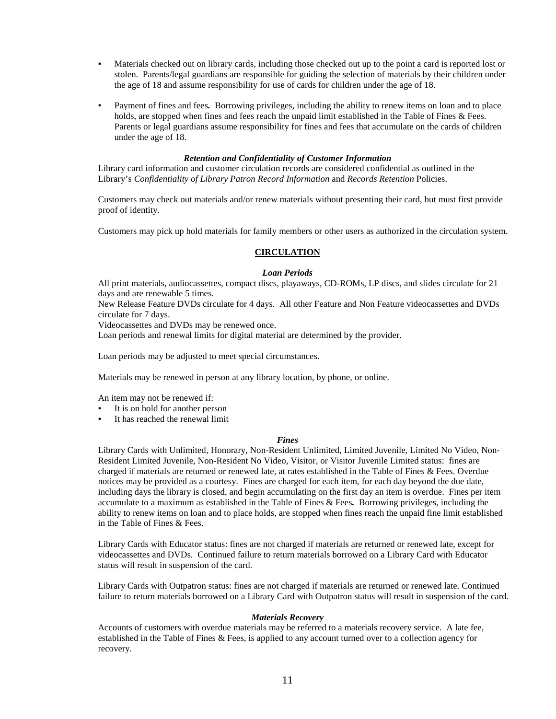- Materials checked out on library cards, including those checked out up to the point a card is reported lost or stolen. Parents/legal guardians are responsible for guiding the selection of materials by their children under the age of 18 and assume responsibility for use of cards for children under the age of 18.
- Payment of fines and fees. Borrowing privileges, including the ability to renew items on loan and to place holds, are stopped when fines and fees reach the unpaid limit established in the Table of Fines & Fees. Parents or legal guardians assume responsibility for fines and fees that accumulate on the cards of children under the age of 18.

#### *Retention and Confidentiality of Customer Information*

Library card information and customer circulation records are considered confidential as outlined in the Library's *Confidentiality of Library Patron Record Information* and *Records Retention* Policies.

Customers may check out materials and/or renew materials without presenting their card, but must first provide proof of identity.

Customers may pick up hold materials for family members or other users as authorized in the circulation system.

#### **CIRCULATION**

#### *Loan Periods*

All print materials, audiocassettes, compact discs, playaways, CD-ROMs, LP discs, and slides circulate for 21 days and are renewable 5 times.

New Release Feature DVDs circulate for 4 days. All other Feature and Non Feature videocassettes and DVDs circulate for 7 days.

Videocassettes and DVDs may be renewed once.

Loan periods and renewal limits for digital material are determined by the provider.

Loan periods may be adjusted to meet special circumstances.

Materials may be renewed in person at any library location, by phone, or online.

An item may not be renewed if:

- It is on hold for another person
- It has reached the renewal limit

#### *Fines*

Library Cards with Unlimited, Honorary, Non-Resident Unlimited, Limited Juvenile, Limited No Video, Non-Resident Limited Juvenile, Non-Resident No Video, Visitor, or Visitor Juvenile Limited status: fines are charged if materials are returned or renewed late, at rates established in the Table of Fines & Fees. Overdue notices may be provided as a courtesy. Fines are charged for each item, for each day beyond the due date, including days the library is closed, and begin accumulating on the first day an item is overdue. Fines per item accumulate to a maximum as established in the Table of Fines & Fees*.* Borrowing privileges, including the ability to renew items on loan and to place holds, are stopped when fines reach the unpaid fine limit established in the Table of Fines & Fees.

Library Cards with Educator status: fines are not charged if materials are returned or renewed late, except for videocassettes and DVDs. Continued failure to return materials borrowed on a Library Card with Educator status will result in suspension of the card.

Library Cards with Outpatron status: fines are not charged if materials are returned or renewed late. Continued failure to return materials borrowed on a Library Card with Outpatron status will result in suspension of the card.

#### *Materials Recovery*

Accounts of customers with overdue materials may be referred to a materials recovery service. A late fee, established in the Table of Fines & Fees, is applied to any account turned over to a collection agency for recovery.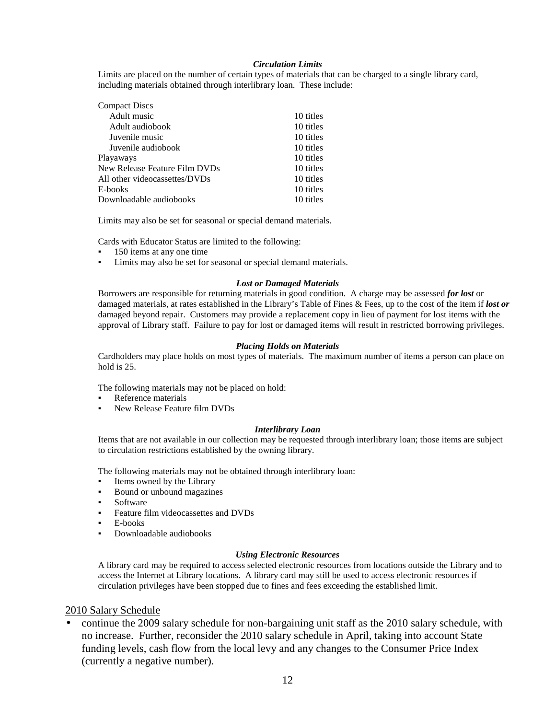### *Circulation Limits*

Limits are placed on the number of certain types of materials that can be charged to a single library card, including materials obtained through interlibrary loan. These include:

| <b>Compact Discs</b>          |           |
|-------------------------------|-----------|
| Adult music                   | 10 titles |
| Adult audiobook               | 10 titles |
| Juvenile music                | 10 titles |
| Juvenile audiobook            | 10 titles |
| Playaways                     | 10 titles |
| New Release Feature Film DVDs | 10 titles |
| All other videocassettes/DVDs | 10 titles |
| E-books                       | 10 titles |
| Downloadable audiobooks       | 10 titles |

Limits may also be set for seasonal or special demand materials.

Cards with Educator Status are limited to the following:

- 150 items at any one time
- Limits may also be set for seasonal or special demand materials.

### *Lost or Damaged Materials*

Borrowers are responsible for returning materials in good condition. A charge may be assessed *for lost* or damaged materials, at rates established in the Library's Table of Fines & Fees, up to the cost of the item if *lost or* damaged beyond repair. Customers may provide a replacement copy in lieu of payment for lost items with the approval of Library staff. Failure to pay for lost or damaged items will result in restricted borrowing privileges.

#### *Placing Holds on Materials*

Cardholders may place holds on most types of materials. The maximum number of items a person can place on hold is 25.

The following materials may not be placed on hold:

- Reference materials
- New Release Feature film DVDs

#### *Interlibrary Loan*

Items that are not available in our collection may be requested through interlibrary loan; those items are subject to circulation restrictions established by the owning library.

The following materials may not be obtained through interlibrary loan:

- Items owned by the Library
- Bound or unbound magazines
- **Software**
- Feature film videocassettes and DVDs
- E-books
- Downloadable audiobooks

#### *Using Electronic Resources*

A library card may be required to access selected electronic resources from locations outside the Library and to access the Internet at Library locations. A library card may still be used to access electronic resources if circulation privileges have been stopped due to fines and fees exceeding the established limit.

### 2010 Salary Schedule

• continue the 2009 salary schedule for non-bargaining unit staff as the 2010 salary schedule, with no increase. Further, reconsider the 2010 salary schedule in April, taking into account State funding levels, cash flow from the local levy and any changes to the Consumer Price Index (currently a negative number).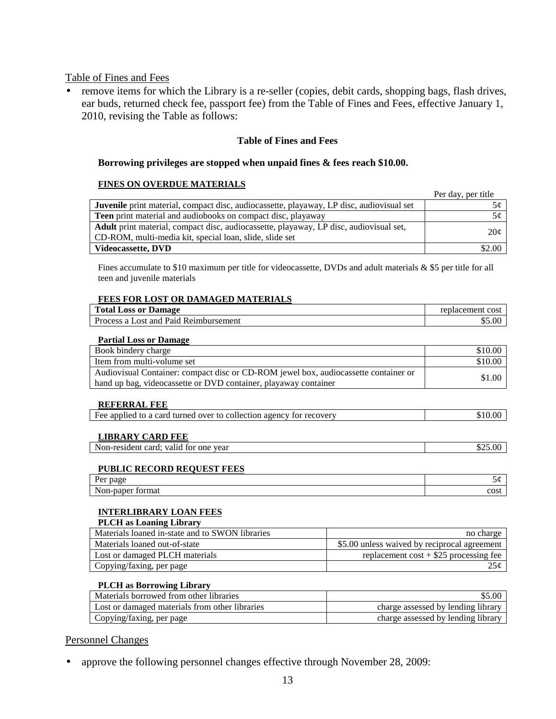Table of Fines and Fees

• remove items for which the Library is a re-seller (copies, debit cards, shopping bags, flash drives, ear buds, returned check fee, passport fee) from the Table of Fines and Fees, effective January 1, 2010, revising the Table as follows:

### **Table of Fines and Fees**

### **Borrowing privileges are stopped when unpaid fines & fees reach \$10.00.**

### **FINES ON OVERDUE MATERIALS**

|                                                                                                 | Per day, per title |
|-------------------------------------------------------------------------------------------------|--------------------|
| <b>Juvenile</b> print material, compact disc, audiocassette, playaway, LP disc, audiovisual set |                    |
| <b>Teen</b> print material and audiobooks on compact disc, playaway                             | 5¢                 |
| Adult print material, compact disc, audiocassette, playaway, LP disc, audiovisual set,          | 20¢                |
| CD-ROM, multi-media kit, special loan, slide, slide set                                         |                    |
| Videocassette, DVD                                                                              | \$2.00             |

Fines accumulate to \$10 maximum per title for videocassette, DVDs and adult materials & \$5 per title for all teen and juvenile materials

### **FEES FOR LOST OR DAMAGED MATERIALS**

| <b>Total Loss or Damage</b>           | replacement<br>cost |
|---------------------------------------|---------------------|
| Process a Lost and Paid Reimbursement | 0.00                |
|                                       |                     |

### **Partial Loss or Damage**

| Book bindery charge                                                                 | \$10.00 |
|-------------------------------------------------------------------------------------|---------|
| Item from multi-volume set                                                          | \$10.00 |
| Audiovisual Container: compact disc or CD-ROM jewel box, audiocassette container or | \$1.00  |
| hand up bag, videocassette or DVD container, playaway container                     |         |

### **REFERRAL FEE**

|--|

### **LIBRARY CARD FEE**

Non-resident card; valid for one year \$25.00

### **PUBLIC RECORD REQUEST FEES**

| D,<br>page<br><b>LVL</b>                   |      |
|--------------------------------------------|------|
| $\mathbf{N}$<br>ormat<br>™-pape.<br>11 U.I | cost |

### **INTERLIBRARY LOAN FEES**

### **PLCH as Loaning Library**

| Materials loaned in-state and to SWON libraries | no charge                                    |
|-------------------------------------------------|----------------------------------------------|
| Materials loaned out-of-state                   | \$5.00 unless waived by reciprocal agreement |
| Lost or damaged PLCH materials                  | replacement $cost + $25$ processing fee      |
| Copying/faxing, per page                        | 25¢                                          |

### **PLCH as Borrowing Library**

| Materials borrowed from other libraries        | \$5.00                             |
|------------------------------------------------|------------------------------------|
| Lost or damaged materials from other libraries | charge assessed by lending library |
| Copying/faxing, per page                       | charge assessed by lending library |

### Personnel Changes

• approve the following personnel changes effective through November 28, 2009: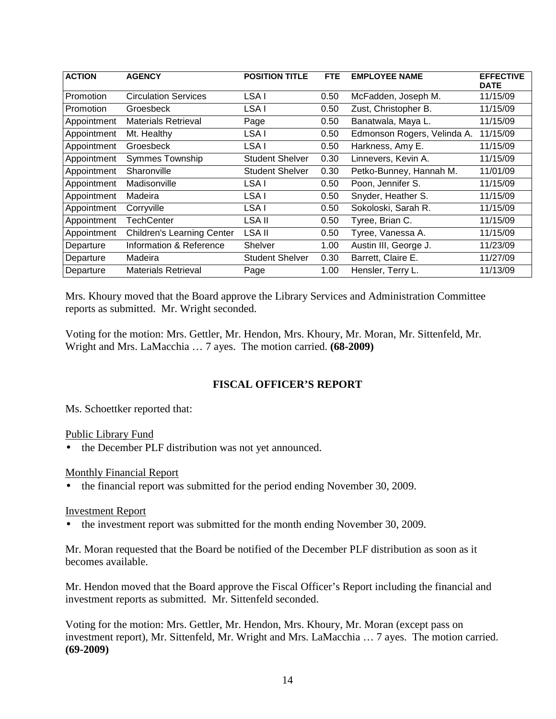| <b>ACTION</b>    | <b>AGENCY</b>                     | <b>POSITION TITLE</b>  | <b>FTE</b> | <b>EMPLOYEE NAME</b>        | <b>EFFECTIVE</b><br><b>DATE</b> |
|------------------|-----------------------------------|------------------------|------------|-----------------------------|---------------------------------|
| <b>Promotion</b> | <b>Circulation Services</b>       | LSA I                  | 0.50       | McFadden, Joseph M.         | 11/15/09                        |
| <b>Promotion</b> | Groesbeck                         | LSA I                  | 0.50       | Zust, Christopher B.        | 11/15/09                        |
| Appointment      | <b>Materials Retrieval</b>        | Page                   | 0.50       | Banatwala, Maya L.          | 11/15/09                        |
| Appointment      | Mt. Healthy                       | LSA I                  | 0.50       | Edmonson Rogers, Velinda A. | 11/15/09                        |
| Appointment      | Groesbeck                         | LSA I                  | 0.50       | Harkness, Amy E.            | 11/15/09                        |
| Appointment      | Symmes Township                   | <b>Student Shelver</b> | 0.30       | Linnevers, Kevin A.         | 11/15/09                        |
| Appointment      | Sharonville                       | <b>Student Shelver</b> | 0.30       | Petko-Bunney, Hannah M.     | 11/01/09                        |
| Appointment      | Madisonville                      | LSA I                  | 0.50       | Poon, Jennifer S.           | 11/15/09                        |
| Appointment      | Madeira                           | LSA I                  | 0.50       | Snyder, Heather S.          | 11/15/09                        |
| Appointment      | Corryville                        | LSA I                  | 0.50       | Sokoloski, Sarah R.         | 11/15/09                        |
| Appointment      | TechCenter                        | LSA II                 | 0.50       | Tyree, Brian C.             | 11/15/09                        |
| Appointment      | <b>Children's Learning Center</b> | LSA II                 | 0.50       | Tyree, Vanessa A.           | 11/15/09                        |
| Departure        | Information & Reference           | Shelver                | 1.00       | Austin III, George J.       | 11/23/09                        |
| Departure        | Madeira                           | <b>Student Shelver</b> | 0.30       | Barrett, Claire E.          | 11/27/09                        |
| Departure        | <b>Materials Retrieval</b>        | Page                   | 1.00       | Hensler, Terry L.           | 11/13/09                        |

Mrs. Khoury moved that the Board approve the Library Services and Administration Committee reports as submitted. Mr. Wright seconded.

Voting for the motion: Mrs. Gettler, Mr. Hendon, Mrs. Khoury, Mr. Moran, Mr. Sittenfeld, Mr. Wright and Mrs. LaMacchia … 7 ayes. The motion carried. **(68-2009)** 

# **FISCAL OFFICER'S REPORT**

Ms. Schoettker reported that:

Public Library Fund

• the December PLF distribution was not yet announced.

## Monthly Financial Report

• the financial report was submitted for the period ending November 30, 2009.

## Investment Report

• the investment report was submitted for the month ending November 30, 2009.

Mr. Moran requested that the Board be notified of the December PLF distribution as soon as it becomes available.

Mr. Hendon moved that the Board approve the Fiscal Officer's Report including the financial and investment reports as submitted. Mr. Sittenfeld seconded.

Voting for the motion: Mrs. Gettler, Mr. Hendon, Mrs. Khoury, Mr. Moran (except pass on investment report), Mr. Sittenfeld, Mr. Wright and Mrs. LaMacchia … 7 ayes. The motion carried. **(69-2009)**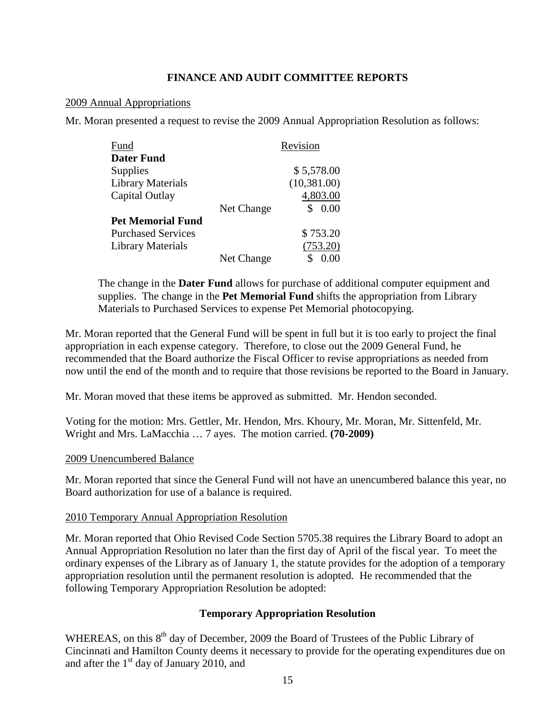## **FINANCE AND AUDIT COMMITTEE REPORTS**

## 2009 Annual Appropriations

Mr. Moran presented a request to revise the 2009 Annual Appropriation Resolution as follows:

| Fund                      |            | Revision     |
|---------------------------|------------|--------------|
| <b>Dater Fund</b>         |            |              |
| Supplies                  |            | \$5,578.00   |
| <b>Library Materials</b>  |            | (10, 381.00) |
| Capital Outlay            |            | 4,803.00     |
|                           | Net Change | 0.00         |
| <b>Pet Memorial Fund</b>  |            |              |
| <b>Purchased Services</b> |            | \$753.20     |
| Library Materials         |            | (753.20)     |
|                           | Net Change |              |

The change in the **Dater Fund** allows for purchase of additional computer equipment and supplies. The change in the **Pet Memorial Fund** shifts the appropriation from Library Materials to Purchased Services to expense Pet Memorial photocopying.

Mr. Moran reported that the General Fund will be spent in full but it is too early to project the final appropriation in each expense category. Therefore, to close out the 2009 General Fund, he recommended that the Board authorize the Fiscal Officer to revise appropriations as needed from now until the end of the month and to require that those revisions be reported to the Board in January.

Mr. Moran moved that these items be approved as submitted. Mr. Hendon seconded.

Voting for the motion: Mrs. Gettler, Mr. Hendon, Mrs. Khoury, Mr. Moran, Mr. Sittenfeld, Mr. Wright and Mrs. LaMacchia … 7 ayes. The motion carried. **(70-2009)** 

## 2009 Unencumbered Balance

Mr. Moran reported that since the General Fund will not have an unencumbered balance this year, no Board authorization for use of a balance is required.

## 2010 Temporary Annual Appropriation Resolution

Mr. Moran reported that Ohio Revised Code Section 5705.38 requires the Library Board to adopt an Annual Appropriation Resolution no later than the first day of April of the fiscal year. To meet the ordinary expenses of the Library as of January 1, the statute provides for the adoption of a temporary appropriation resolution until the permanent resolution is adopted. He recommended that the following Temporary Appropriation Resolution be adopted:

## **Temporary Appropriation Resolution**

WHEREAS, on this 8<sup>th</sup> day of December, 2009 the Board of Trustees of the Public Library of Cincinnati and Hamilton County deems it necessary to provide for the operating expenditures due on and after the  $1<sup>st</sup>$  day of January 2010, and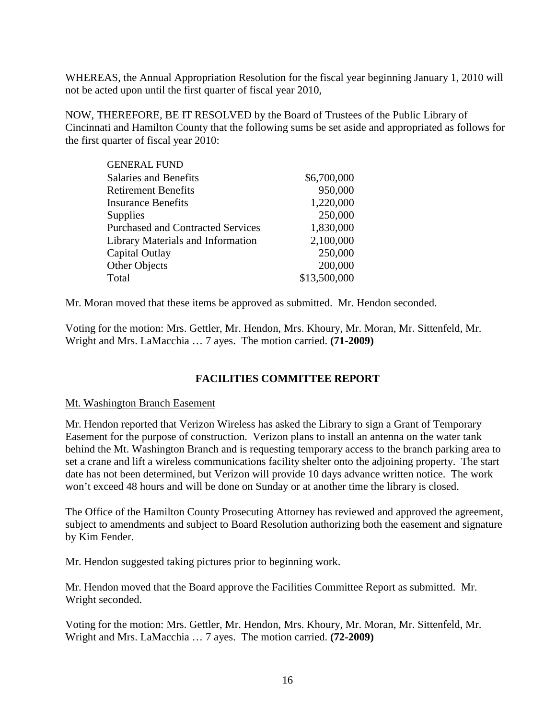WHEREAS, the Annual Appropriation Resolution for the fiscal year beginning January 1, 2010 will not be acted upon until the first quarter of fiscal year 2010,

NOW, THEREFORE, BE IT RESOLVED by the Board of Trustees of the Public Library of Cincinnati and Hamilton County that the following sums be set aside and appropriated as follows for the first quarter of fiscal year 2010:

| \$6,700,000  |
|--------------|
| 950,000      |
| 1,220,000    |
| 250,000      |
| 1,830,000    |
| 2,100,000    |
| 250,000      |
| 200,000      |
| \$13,500,000 |
|              |

Mr. Moran moved that these items be approved as submitted. Mr. Hendon seconded.

Voting for the motion: Mrs. Gettler, Mr. Hendon, Mrs. Khoury, Mr. Moran, Mr. Sittenfeld, Mr. Wright and Mrs. LaMacchia … 7 ayes. The motion carried. **(71-2009)** 

# **FACILITIES COMMITTEE REPORT**

## Mt. Washington Branch Easement

Mr. Hendon reported that Verizon Wireless has asked the Library to sign a Grant of Temporary Easement for the purpose of construction. Verizon plans to install an antenna on the water tank behind the Mt. Washington Branch and is requesting temporary access to the branch parking area to set a crane and lift a wireless communications facility shelter onto the adjoining property. The start date has not been determined, but Verizon will provide 10 days advance written notice. The work won't exceed 48 hours and will be done on Sunday or at another time the library is closed.

The Office of the Hamilton County Prosecuting Attorney has reviewed and approved the agreement, subject to amendments and subject to Board Resolution authorizing both the easement and signature by Kim Fender.

Mr. Hendon suggested taking pictures prior to beginning work.

Mr. Hendon moved that the Board approve the Facilities Committee Report as submitted. Mr. Wright seconded.

Voting for the motion: Mrs. Gettler, Mr. Hendon, Mrs. Khoury, Mr. Moran, Mr. Sittenfeld, Mr. Wright and Mrs. LaMacchia … 7 ayes. The motion carried. **(72-2009)**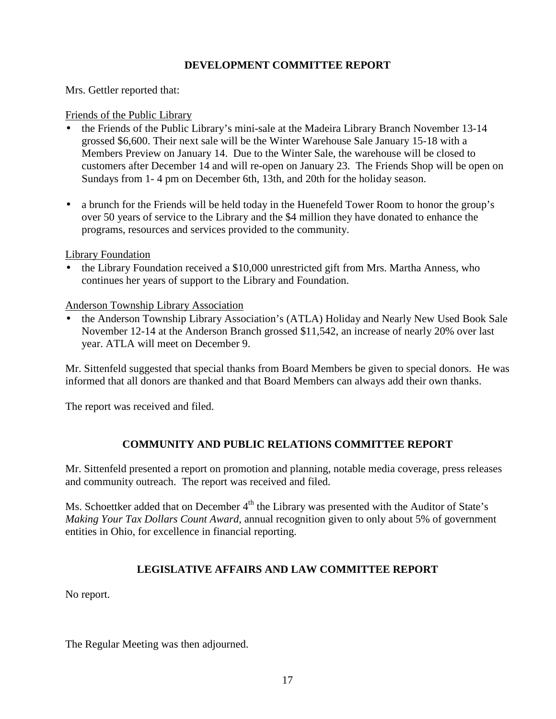# **DEVELOPMENT COMMITTEE REPORT**

Mrs. Gettler reported that:

## Friends of the Public Library

- the Friends of the Public Library's mini-sale at the Madeira Library Branch November 13-14 grossed \$6,600. Their next sale will be the Winter Warehouse Sale January 15-18 with a Members Preview on January 14. Due to the Winter Sale, the warehouse will be closed to customers after December 14 and will re-open on January 23. The Friends Shop will be open on Sundays from 1- 4 pm on December 6th, 13th, and 20th for the holiday season.
- a brunch for the Friends will be held today in the Huenefeld Tower Room to honor the group's over 50 years of service to the Library and the \$4 million they have donated to enhance the programs, resources and services provided to the community.

## Library Foundation

• the Library Foundation received a \$10,000 unrestricted gift from Mrs. Martha Anness, who continues her years of support to the Library and Foundation.

Anderson Township Library Association

• the Anderson Township Library Association's (ATLA) Holiday and Nearly New Used Book Sale November 12-14 at the Anderson Branch grossed \$11,542, an increase of nearly 20% over last year. ATLA will meet on December 9.

Mr. Sittenfeld suggested that special thanks from Board Members be given to special donors. He was informed that all donors are thanked and that Board Members can always add their own thanks.

The report was received and filed.

# **COMMUNITY AND PUBLIC RELATIONS COMMITTEE REPORT**

Mr. Sittenfeld presented a report on promotion and planning, notable media coverage, press releases and community outreach. The report was received and filed.

Ms. Schoettker added that on December  $4<sup>th</sup>$  the Library was presented with the Auditor of State's *Making Your Tax Dollars Count Award*, annual recognition given to only about 5% of government entities in Ohio, for excellence in financial reporting.

# **LEGISLATIVE AFFAIRS AND LAW COMMITTEE REPORT**

No report.

The Regular Meeting was then adjourned.